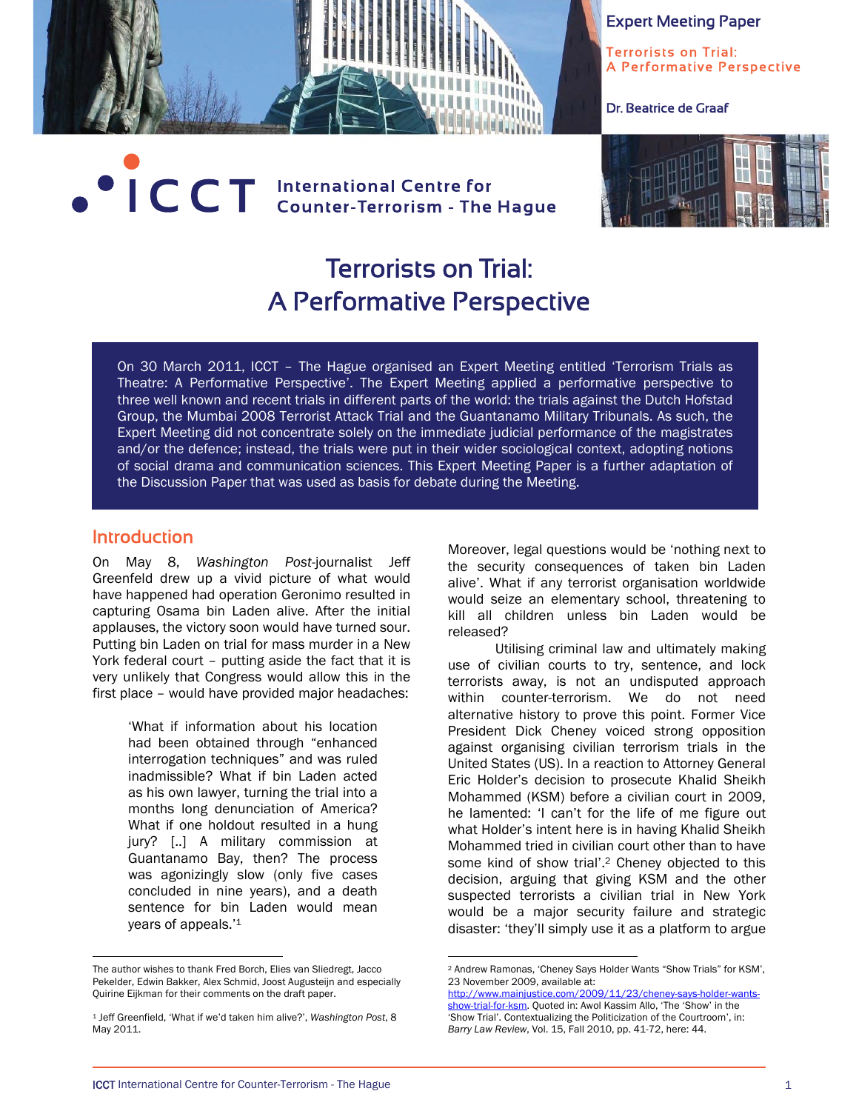

Terrorists on Trial: A Performative Perspective

Dr. Beatrice de Graaf

# **OCT** International Centre for<br>CCT Counter-Terrorism - The Hague



# Terrorists on Trial: A Performative Perspective

On 30 March 2011, ICCT – The Hague organised an Expert Meeting entitled 'Terrorism Trials as Theatre: A Performative Perspective'. The Expert Meeting applied a performative perspective to three well known and recent trials in different parts of the world: the trials against the Dutch Hofstad Group, the Mumbai 2008 Terrorist Attack Trial and the Guantanamo Military Tribunals. As such, the Expert Meeting did not concentrate solely on the immediate judicial performance of the magistrates and/or the defence; instead, the trials were put in their wider sociological context, adopting notions of social drama and communication sciences. This Expert Meeting Paper is a further adaptation of the Discussion Paper that was used as basis for debate during the Meeting.

 $\overline{a}$ 

#### Introduction

 $\overline{a}$ 

On May 8, *Washington Post*-journalist Jeff Greenfeld drew up a vivid picture of what would have happened had operation Geronimo resulted in capturing Osama bin Laden alive. After the initial applauses, the victory soon would have turned sour. Putting bin Laden on trial for mass murder in a New York federal court – putting aside the fact that it is very unlikely that Congress would allow this in the first place – would have provided major headaches:

> 'What if information about his location had been obtained through "enhanced interrogation techniques" and was ruled inadmissible? What if bin Laden acted as his own lawyer, turning the trial into a months long denunciation of America? What if one holdout resulted in a hung jury? [..] A military commission at Guantanamo Bay, then? The process was agonizingly slow (only five cases concluded in nine years), and a death sentence for bin Laden would mean years of appeals.'1

Moreover, legal questions would be 'nothing next to the security consequences of taken bin Laden alive'. What if any terrorist organisation worldwide would seize an elementary school, threatening to kill all children unless bin Laden would be released?

Utilising criminal law and ultimately making use of civilian courts to try, sentence, and lock terrorists away, is not an undisputed approach within counter-terrorism. We do not need alternative history to prove this point. Former Vice President Dick Cheney voiced strong opposition against organising civilian terrorism trials in the United States (US). In a reaction to Attorney General Eric Holder's decision to prosecute Khalid Sheikh Mohammed (KSM) before a civilian court in 2009, he lamented: 'I can't for the life of me figure out what Holder's intent here is in having Khalid Sheikh Mohammed tried in civilian court other than to have some kind of show trial'.2 Cheney objected to this decision, arguing that giving KSM and the other suspected terrorists a civilian trial in New York would be a major security failure and strategic disaster: 'they'll simply use it as a platform to argue

The author wishes to thank Fred Borch, Elies van Sliedregt, Jacco Pekelder, Edwin Bakker, Alex Schmid, Joost Augusteijn and especially Quirine Eijkman for their comments on the draft paper.

<sup>1</sup> Jeff Greenfield, 'What if we'd taken him alive?', *Washington Post*, 8 May 2011.

<sup>2</sup> Andrew Ramonas, 'Cheney Says Holder Wants "Show Trials" for KSM', 23 November 2009, available at:

http://www.mainjustice.com/2009/11/23/cheney-says-holder-wantsshow-trial-for-ksm. Quoted in: Awol Kassim Allo, 'The 'Show' in the 'Show Trial'. Contextualizing the Politicization of the Courtroom', in: *Barry Law Review*, Vol. 15, Fall 2010, pp. 41-72, here: 44.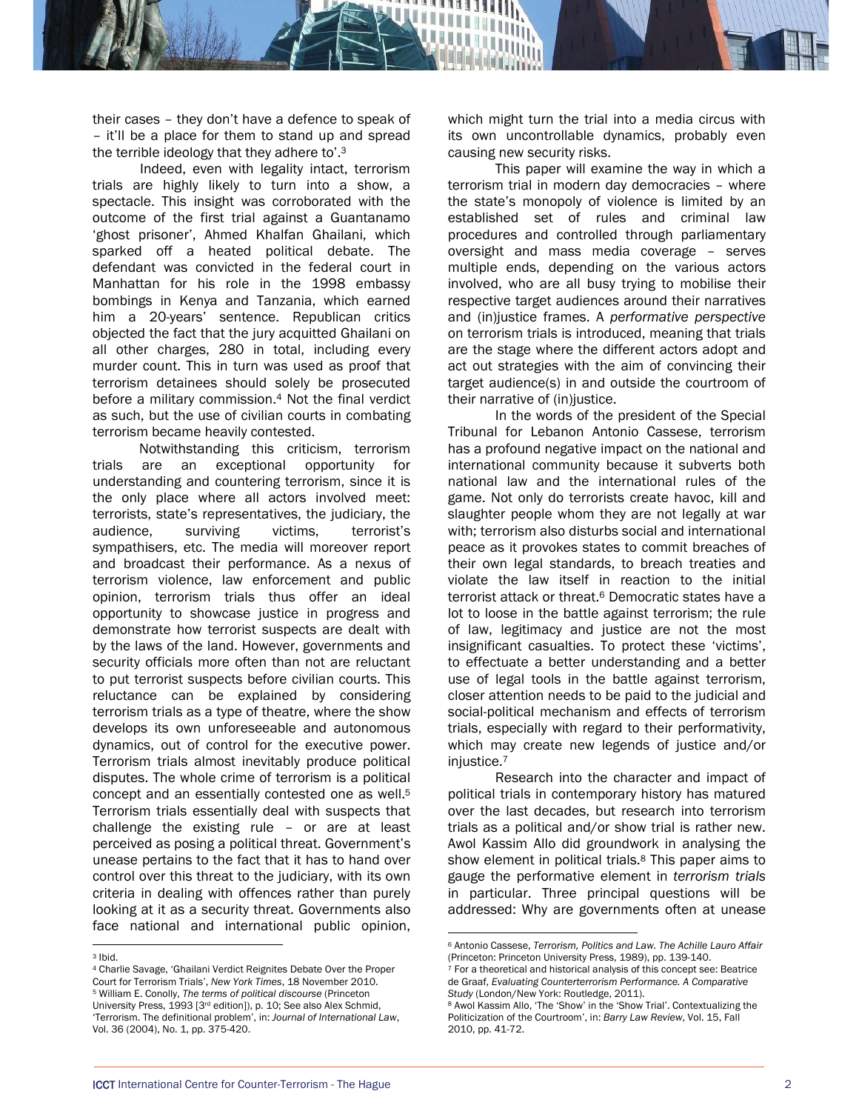their cases – they don't have a defence to speak of – it'll be a place for them to stand up and spread the terrible ideology that they adhere to'.3

Indeed, even with legality intact, terrorism trials are highly likely to turn into a show, a spectacle. This insight was corroborated with the outcome of the first trial against a Guantanamo 'ghost prisoner', Ahmed Khalfan Ghailani, which sparked off a heated political debate. The defendant was convicted in the federal court in Manhattan for his role in the 1998 embassy bombings in Kenya and Tanzania, which earned him a 20-years' sentence. Republican critics objected the fact that the jury acquitted Ghailani on all other charges, 280 in total, including every murder count. This in turn was used as proof that terrorism detainees should solely be prosecuted before a military commission.4 Not the final verdict as such, but the use of civilian courts in combating terrorism became heavily contested.

 Notwithstanding this criticism, terrorism trials are an exceptional opportunity for understanding and countering terrorism, since it is the only place where all actors involved meet: terrorists, state's representatives, the judiciary, the audience, surviving victims, terrorist's sympathisers, etc. The media will moreover report and broadcast their performance. As a nexus of terrorism violence, law enforcement and public opinion, terrorism trials thus offer an ideal opportunity to showcase justice in progress and demonstrate how terrorist suspects are dealt with by the laws of the land. However, governments and security officials more often than not are reluctant to put terrorist suspects before civilian courts. This reluctance can be explained by considering terrorism trials as a type of theatre, where the show develops its own unforeseeable and autonomous dynamics, out of control for the executive power. Terrorism trials almost inevitably produce political disputes. The whole crime of terrorism is a political concept and an essentially contested one as well.5 Terrorism trials essentially deal with suspects that challenge the existing rule – or are at least perceived as posing a political threat. Government's unease pertains to the fact that it has to hand over control over this threat to the judiciary, with its own criteria in dealing with offences rather than purely looking at it as a security threat. Governments also face national and international public opinion,

which might turn the trial into a media circus with its own uncontrollable dynamics, probably even causing new security risks.

This paper will examine the way in which a terrorism trial in modern day democracies – where the state's monopoly of violence is limited by an established set of rules and criminal law procedures and controlled through parliamentary oversight and mass media coverage – serves multiple ends, depending on the various actors involved, who are all busy trying to mobilise their respective target audiences around their narratives and (in)justice frames. A *performative perspective* on terrorism trials is introduced, meaning that trials are the stage where the different actors adopt and act out strategies with the aim of convincing their target audience(s) in and outside the courtroom of their narrative of (in)justice.

In the words of the president of the Special Tribunal for Lebanon Antonio Cassese, terrorism has a profound negative impact on the national and international community because it subverts both national law and the international rules of the game. Not only do terrorists create havoc, kill and slaughter people whom they are not legally at war with; terrorism also disturbs social and international peace as it provokes states to commit breaches of their own legal standards, to breach treaties and violate the law itself in reaction to the initial terrorist attack or threat.6 Democratic states have a lot to loose in the battle against terrorism; the rule of law, legitimacy and justice are not the most insignificant casualties. To protect these 'victims', to effectuate a better understanding and a better use of legal tools in the battle against terrorism, closer attention needs to be paid to the judicial and social-political mechanism and effects of terrorism trials, especially with regard to their performativity, which may create new legends of justice and/or injustice.7

Research into the character and impact of political trials in contemporary history has matured over the last decades, but research into terrorism trials as a political and/or show trial is rather new. Awol Kassim Allo did groundwork in analysing the show element in political trials.8 This paper aims to gauge the performative element in *terrorism trials* in particular. Three principal questions will be addressed: Why are governments often at unease

 $\overline{a}$ 3 Ibid.

<sup>4</sup> Charlie Savage, 'Ghailani Verdict Reignites Debate Over the Proper Court for Terrorism Trials', *New York Times*, 18 November 2010. 5 William E. Conolly, *The terms of political discourse* (Princeton University Press, 1993 [3rd edition]), p. 10; See also Alex Schmid, 'Terrorism. The definitional problem', in: *Journal of International Law*, Vol. 36 (2004), No. 1, pp. 375-420.

<sup>6</sup> Antonio Cassese, *Terrorism, Politics and Law. The Achille Lauro Affair* (Princeton: Princeton University Press, 1989), pp. 139-140.  $7$  For a theoretical and historical analysis of this concept see: Beatrice

de Graaf, *Evaluating Counterterrorism Performance. A Comparative* 

<sup>&</sup>lt;sup>8</sup> Awol Kassim Allo, 'The 'Show' in the 'Show Trial'. Contextualizing the Politicization of the Courtroom', in: *Barry Law Review*, Vol. 15, Fall 2010, pp. 41-72.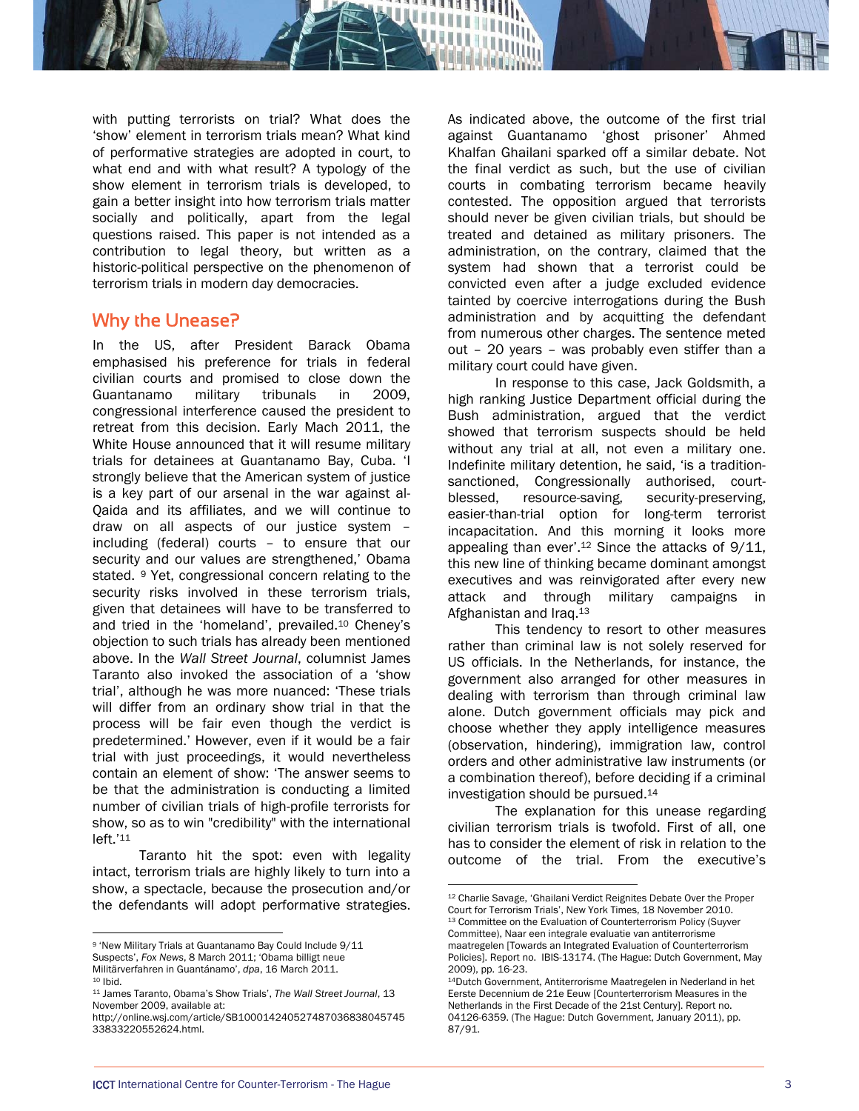

with putting terrorists on trial? What does the 'show' element in terrorism trials mean? What kind of performative strategies are adopted in court, to what end and with what result? A typology of the show element in terrorism trials is developed, to gain a better insight into how terrorism trials matter socially and politically, apart from the legal questions raised. This paper is not intended as a contribution to legal theory, but written as a historic-political perspective on the phenomenon of terrorism trials in modern day democracies.

#### Why the Unease?

In the US, after President Barack Obama emphasised his preference for trials in federal civilian courts and promised to close down the Guantanamo military tribunals in 2009, congressional interference caused the president to retreat from this decision. Early Mach 2011, the White House announced that it will resume military trials for detainees at Guantanamo Bay, Cuba. 'I strongly believe that the American system of justice is a key part of our arsenal in the war against al-Qaida and its affiliates, and we will continue to draw on all aspects of our justice system – including (federal) courts – to ensure that our security and our values are strengthened,' Obama stated.9 Yet, congressional concern relating to the security risks involved in these terrorism trials, given that detainees will have to be transferred to and tried in the 'homeland', prevailed.10 Cheney's objection to such trials has already been mentioned above. In the *Wall Street Journal*, columnist James Taranto also invoked the association of a 'show trial', although he was more nuanced: 'These trials will differ from an ordinary show trial in that the process will be fair even though the verdict is predetermined.' However, even if it would be a fair trial with just proceedings, it would nevertheless contain an element of show: 'The answer seems to be that the administration is conducting a limited number of civilian trials of high-profile terrorists for show, so as to win "credibility" with the international left.'11

 Taranto hit the spot: even with legality intact, terrorism trials are highly likely to turn into a show, a spectacle, because the prosecution and/or the defendants will adopt performative strategies.

 $\overline{a}$ 

As indicated above, the outcome of the first trial against Guantanamo 'ghost prisoner' Ahmed Khalfan Ghailani sparked off a similar debate. Not the final verdict as such, but the use of civilian courts in combating terrorism became heavily contested. The opposition argued that terrorists should never be given civilian trials, but should be treated and detained as military prisoners. The administration, on the contrary, claimed that the system had shown that a terrorist could be convicted even after a judge excluded evidence tainted by coercive interrogations during the Bush administration and by acquitting the defendant from numerous other charges. The sentence meted out – 20 years – was probably even stiffer than a military court could have given.

In response to this case, Jack Goldsmith, a high ranking Justice Department official during the Bush administration, argued that the verdict showed that terrorism suspects should be held without any trial at all, not even a military one. Indefinite military detention, he said, 'is a traditionsanctioned, Congressionally authorised, courtblessed, resource-saving, security-preserving, easier-than-trial option for long-term terrorist incapacitation. And this morning it looks more appealing than ever'.<sup>12</sup> Since the attacks of 9/11, this new line of thinking became dominant amongst executives and was reinvigorated after every new attack and through military campaigns in Afghanistan and Iraq.13

This tendency to resort to other measures rather than criminal law is not solely reserved for US officials. In the Netherlands, for instance, the government also arranged for other measures in dealing with terrorism than through criminal law alone. Dutch government officials may pick and choose whether they apply intelligence measures (observation, hindering), immigration law, control orders and other administrative law instruments (or a combination thereof), before deciding if a criminal investigation should be pursued.14

The explanation for this unease regarding civilian terrorism trials is twofold. First of all, one has to consider the element of risk in relation to the outcome of the trial. From the executive's

<sup>9 &#</sup>x27;New Military Trials at Guantanamo Bay Could Include 9/11 Suspects', *Fox News*, 8 March 2011; 'Obama billigt neue Militärverfahren in Guantánamo', *dpa*, 16 March 2011. 10 Ibid.

<sup>11</sup> James Taranto, Obama's Show Trials', *The Wall Street Journal*, 13 November 2009, available at:

http://online.wsj.com/article/SB100014240527487036838045745 33833220552624.html.

<sup>12</sup> Charlie Savage, 'Ghailani Verdict Reignites Debate Over the Proper Court for Terrorism Trials', New York Times, 18 November 2010. 13 Committee on the Evaluation of Counterterrorism Policy (Suyver Committee), Naar een integrale evaluatie van antiterrorisme maatregelen [Towards an Integrated Evaluation of Counterterrorism Policies]. Report no. IBIS-13174. (The Hague: Dutch Government, May 2009), pp. 16-23.

<sup>14</sup>Dutch Government, Antiterrorisme Maatregelen in Nederland in het Eerste Decennium de 21e Eeuw [Counterterrorism Measures in the Netherlands in the First Decade of the 21st Century]. Report no. 04126-6359. (The Hague: Dutch Government, January 2011), pp. 87/91.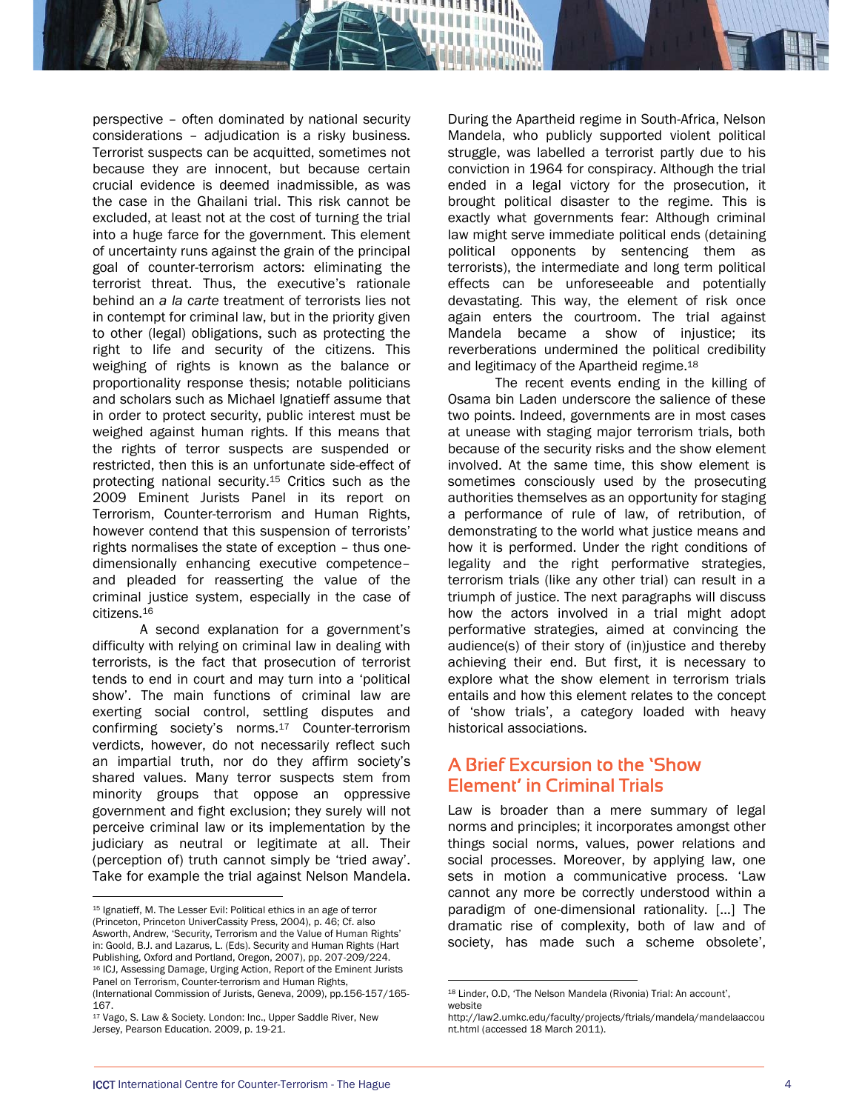perspective – often dominated by national security considerations – adjudication is a risky business. Terrorist suspects can be acquitted, sometimes not because they are innocent, but because certain crucial evidence is deemed inadmissible, as was the case in the Ghailani trial. This risk cannot be excluded, at least not at the cost of turning the trial into a huge farce for the government. This element of uncertainty runs against the grain of the principal goal of counter-terrorism actors: eliminating the terrorist threat. Thus, the executive's rationale behind an *a la carte* treatment of terrorists lies not in contempt for criminal law, but in the priority given to other (legal) obligations, such as protecting the right to life and security of the citizens. This weighing of rights is known as the balance or proportionality response thesis; notable politicians and scholars such as Michael Ignatieff assume that in order to protect security, public interest must be weighed against human rights. If this means that the rights of terror suspects are suspended or restricted, then this is an unfortunate side-effect of protecting national security.15 Critics such as the 2009 Eminent Jurists Panel in its report on Terrorism, Counter-terrorism and Human Rights, however contend that this suspension of terrorists' rights normalises the state of exception – thus onedimensionally enhancing executive competence– and pleaded for reasserting the value of the criminal justice system, especially in the case of citizens.16

A second explanation for a government's difficulty with relying on criminal law in dealing with terrorists, is the fact that prosecution of terrorist tends to end in court and may turn into a 'political show'. The main functions of criminal law are exerting social control, settling disputes and confirming society's norms.17 Counter-terrorism verdicts, however, do not necessarily reflect such an impartial truth, nor do they affirm society's shared values. Many terror suspects stem from minority groups that oppose an oppressive government and fight exclusion; they surely will not perceive criminal law or its implementation by the judiciary as neutral or legitimate at all. Their (perception of) truth cannot simply be 'tried away'. Take for example the trial against Nelson Mandela.

 $\overline{a}$ 

During the Apartheid regime in South-Africa, Nelson Mandela, who publicly supported violent political struggle, was labelled a terrorist partly due to his conviction in 1964 for conspiracy. Although the trial ended in a legal victory for the prosecution, it brought political disaster to the regime. This is exactly what governments fear: Although criminal law might serve immediate political ends (detaining political opponents by sentencing them as terrorists), the intermediate and long term political effects can be unforeseeable and potentially devastating. This way, the element of risk once again enters the courtroom. The trial against Mandela became a show of injustice; its reverberations undermined the political credibility and legitimacy of the Apartheid regime.18

The recent events ending in the killing of Osama bin Laden underscore the salience of these two points. Indeed, governments are in most cases at unease with staging major terrorism trials, both because of the security risks and the show element involved. At the same time, this show element is sometimes consciously used by the prosecuting authorities themselves as an opportunity for staging a performance of rule of law, of retribution, of demonstrating to the world what justice means and how it is performed. Under the right conditions of legality and the right performative strategies, terrorism trials (like any other trial) can result in a triumph of justice. The next paragraphs will discuss how the actors involved in a trial might adopt performative strategies, aimed at convincing the audience(s) of their story of (in)justice and thereby achieving their end. But first, it is necessary to explore what the show element in terrorism trials entails and how this element relates to the concept of 'show trials', a category loaded with heavy historical associations.

## A Brief Excursion to the 'Show Element' in Criminal Trials

Law is broader than a mere summary of legal norms and principles; it incorporates amongst other things social norms, values, power relations and social processes. Moreover, by applying law, one sets in motion a communicative process. 'Law cannot any more be correctly understood within a paradigm of one-dimensional rationality. […] The dramatic rise of complexity, both of law and of society, has made such a scheme obsolete',

<sup>15</sup> Ignatieff, M. The Lesser Evil: Political ethics in an age of terror (Princeton, Princeton UniverCassity Press, 2004), p. 46; Cf. also Asworth, Andrew, 'Security, Terrorism and the Value of Human Rights' in: Goold, B.J. and Lazarus, L. (Eds). Security and Human Rights (Hart Publishing, Oxford and Portland, Oregon, 2007), pp. 207-209/224. 16 ICJ, Assessing Damage, Urging Action, Report of the Eminent Jurists Panel on Terrorism, Counter-terrorism and Human Rights, (International Commission of Jurists, Geneva, 2009), pp.156-157/165- 167.

<sup>17</sup> Vago, S. Law & Society. London: Inc., Upper Saddle River, New Jersey, Pearson Education. 2009, p. 19-21.

<sup>18</sup> Linder, O.D, 'The Nelson Mandela (Rivonia) Trial: An account', website

http://law2.umkc.edu/faculty/projects/ftrials/mandela/mandelaaccou nt.html (accessed 18 March 2011).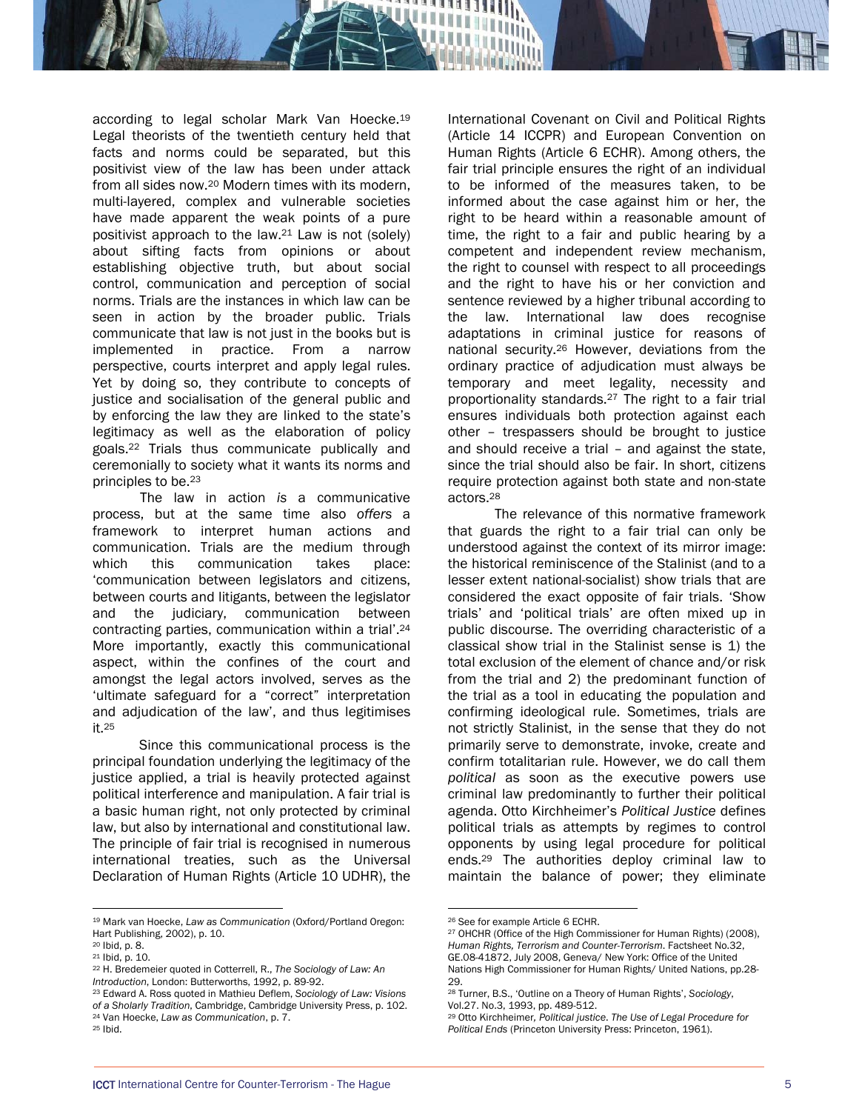according to legal scholar Mark Van Hoecke.19 Legal theorists of the twentieth century held that facts and norms could be separated, but this positivist view of the law has been under attack from all sides now.20 Modern times with its modern, multi-layered, complex and vulnerable societies have made apparent the weak points of a pure positivist approach to the law.21 Law is not (solely) about sifting facts from opinions or about establishing objective truth, but about social control, communication and perception of social norms. Trials are the instances in which law can be seen in action by the broader public. Trials communicate that law is not just in the books but is implemented in practice. From a narrow perspective, courts interpret and apply legal rules. Yet by doing so, they contribute to concepts of justice and socialisation of the general public and by enforcing the law they are linked to the state's legitimacy as well as the elaboration of policy goals.22 Trials thus communicate publically and ceremonially to society what it wants its norms and principles to be.23

The law in action *is* a communicative process, but at the same time also *offers* a framework to interpret human actions and communication. Trials are the medium through which this communication takes place: 'communication between legislators and citizens, between courts and litigants, between the legislator and the judiciary, communication between contracting parties, communication within a trial'.24 More importantly, exactly this communicational aspect, within the confines of the court and amongst the legal actors involved, serves as the 'ultimate safeguard for a "correct" interpretation and adjudication of the law', and thus legitimises it.25

 Since this communicational process is the principal foundation underlying the legitimacy of the justice applied, a trial is heavily protected against political interference and manipulation. A fair trial is a basic human right, not only protected by criminal law, but also by international and constitutional law. The principle of fair trial is recognised in numerous international treaties, such as the Universal Declaration of Human Rights (Article 10 UDHR), the

 $\overline{a}$ 

- 22 H. Bredemeier quoted in Cotterrell, R., *The Sociology of Law: An*
- <sup>23</sup> Edward A. Ross quoted in Mathieu Deflem, *Sociology of Law: Visions of a Sholarly Tradition*, Cambridge, Cambridge University Press, p. 102. 24 Van Hoecke, *Law as Communication*, p. 7. 25 Ibid.

International Covenant on Civil and Political Rights (Article 14 ICCPR) and European Convention on Human Rights (Article 6 ECHR). Among others, the fair trial principle ensures the right of an individual to be informed of the measures taken, to be informed about the case against him or her, the right to be heard within a reasonable amount of time, the right to a fair and public hearing by a competent and independent review mechanism, the right to counsel with respect to all proceedings and the right to have his or her conviction and sentence reviewed by a higher tribunal according to the law. International law does recognise adaptations in criminal justice for reasons of national security.26 However, deviations from the ordinary practice of adjudication must always be temporary and meet legality, necessity and proportionality standards.27 The right to a fair trial ensures individuals both protection against each other – trespassers should be brought to justice and should receive a trial – and against the state, since the trial should also be fair. In short, citizens require protection against both state and non-state actors.28

 The relevance of this normative framework that guards the right to a fair trial can only be understood against the context of its mirror image: the historical reminiscence of the Stalinist (and to a lesser extent national-socialist) show trials that are considered the exact opposite of fair trials. 'Show trials' and 'political trials' are often mixed up in public discourse. The overriding characteristic of a classical show trial in the Stalinist sense is 1) the total exclusion of the element of chance and/or risk from the trial and 2) the predominant function of the trial as a tool in educating the population and confirming ideological rule. Sometimes, trials are not strictly Stalinist, in the sense that they do not primarily serve to demonstrate, invoke, create and confirm totalitarian rule. However, we do call them *political* as soon as the executive powers use criminal law predominantly to further their political agenda. Otto Kirchheimer's *Political Justice* defines political trials as attempts by regimes to control opponents by using legal procedure for political ends.29 The authorities deploy criminal law to maintain the balance of power; they eliminate

<sup>19</sup> Mark van Hoecke, *Law as Communication* (Oxford/Portland Oregon: Hart Publishing, 2002), p. 10.

<sup>20</sup> Ibid, p. 8.

<sup>21</sup> Ibid, p. 10.

<sup>26</sup> See for example Article 6 ECHR.

<sup>27</sup> OHCHR (Office of the High Commissioner for Human Rights) (2008), *Human Rights, Terrorism and Counter-Terrorism*. Factsheet No.32, GE.08-41872, July 2008, Geneva/ New York: Office of the United Nations High Commissioner for Human Rights/ United Nations, pp.28- 29.

<sup>28</sup> Turner, B.S., 'Outline on a Theory of Human Rights', *Sociology*, Vol.27. No.3, 1993, pp. 489-512.

<sup>29</sup> Otto Kirchheimer*, Political justice*. *The Use of Legal Procedure for Political Ends* (Princeton University Press: Princeton, 1961).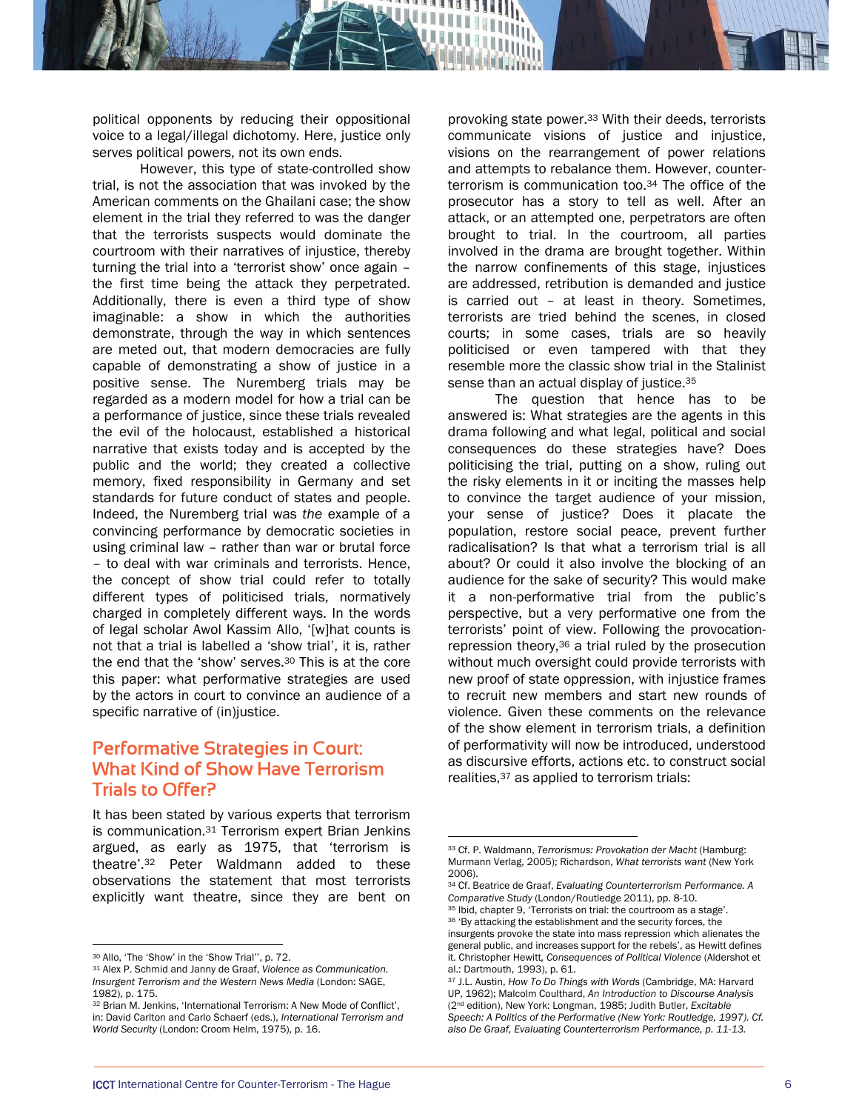political opponents by reducing their oppositional voice to a legal/illegal dichotomy. Here, justice only serves political powers, not its own ends.

However, this type of state-controlled show trial, is not the association that was invoked by the American comments on the Ghailani case; the show element in the trial they referred to was the danger that the terrorists suspects would dominate the courtroom with their narratives of injustice, thereby turning the trial into a 'terrorist show' once again – the first time being the attack they perpetrated. Additionally, there is even a third type of show imaginable: a show in which the authorities demonstrate, through the way in which sentences are meted out, that modern democracies are fully capable of demonstrating a show of justice in a positive sense. The Nuremberg trials may be regarded as a modern model for how a trial can be a performance of justice, since these trials revealed the evil of the holocaust, established a historical narrative that exists today and is accepted by the public and the world; they created a collective memory, fixed responsibility in Germany and set standards for future conduct of states and people. Indeed, the Nuremberg trial was *the* example of a convincing performance by democratic societies in using criminal law – rather than war or brutal force – to deal with war criminals and terrorists. Hence, the concept of show trial could refer to totally different types of politicised trials, normatively charged in completely different ways. In the words of legal scholar Awol Kassim Allo, '[w]hat counts is not that a trial is labelled a 'show trial', it is, rather the end that the 'show' serves.30 This is at the core this paper: what performative strategies are used by the actors in court to convince an audience of a specific narrative of (in)justice.

## Performative Strategies in Court: What Kind of Show Have Terrorism Trials to Offer?

It has been stated by various experts that terrorism is communication.31 Terrorism expert Brian Jenkins argued, as early as 1975, that 'terrorism is theatre'.32 Peter Waldmann added to these observations the statement that most terrorists explicitly want theatre, since they are bent on

 $\overline{a}$ 

provoking state power.33 With their deeds, terrorists communicate visions of justice and injustice, visions on the rearrangement of power relations and attempts to rebalance them. However, counterterrorism is communication too.34 The office of the prosecutor has a story to tell as well. After an attack, or an attempted one, perpetrators are often brought to trial. In the courtroom, all parties involved in the drama are brought together. Within the narrow confinements of this stage, injustices are addressed, retribution is demanded and justice is carried out – at least in theory. Sometimes, terrorists are tried behind the scenes, in closed courts; in some cases, trials are so heavily politicised or even tampered with that they resemble more the classic show trial in the Stalinist sense than an actual display of justice.<sup>35</sup>

The question that hence has to be answered is: What strategies are the agents in this drama following and what legal, political and social consequences do these strategies have? Does politicising the trial, putting on a show, ruling out the risky elements in it or inciting the masses help to convince the target audience of your mission, your sense of justice? Does it placate the population, restore social peace, prevent further radicalisation? Is that what a terrorism trial is all about? Or could it also involve the blocking of an audience for the sake of security? This would make it a non-performative trial from the public's perspective, but a very performative one from the terrorists' point of view. Following the provocationrepression theory,36 a trial ruled by the prosecution without much oversight could provide terrorists with new proof of state oppression, with injustice frames to recruit new members and start new rounds of violence. Given these comments on the relevance of the show element in terrorism trials, a definition of performativity will now be introduced, understood as discursive efforts, actions etc. to construct social realities,37 as applied to terrorism trials:

<sup>35</sup> Ibid, chapter 9, 'Terrorists on trial: the courtroom as a stage'. 36 'By attacking the establishment and the security forces, the

<sup>30</sup> Allo, 'The 'Show' in the 'Show Trial'', p. 72.

<sup>31</sup> Alex P. Schmid and Janny de Graaf, *Violence as Communication. Insurgent Terrorism and the Western News Media* (London: SAGE, 1982), p. 175.

<sup>32</sup> Brian M. Jenkins, 'International Terrorism: A New Mode of Conflict', in: David Carlton and Carlo Schaerf (eds.), *International Terrorism and World Security* (London: Croom Helm, 1975), p. 16.

<sup>33</sup> Cf. P. Waldmann, *Terrorismus: Provokation der Macht* (Hamburg: Murmann Verlag, 2005); Richardson, *What terrorists want* (New York 2006).

<sup>34</sup> Cf. Beatrice de Graaf, *Evaluating Counterterrorism Performance. A* 

insurgents provoke the state into mass repression which alienates the general public, and increases support for the rebels', as Hewitt defines it. Christopher Hewitt*, Consequences of Political Violence* (Aldershot et al.: Dartmouth, 1993), p. 61.

<sup>37</sup> J.L. Austin, *How To Do Things with Words* (Cambridge, MA: Harvard UP, 1962); Malcolm Coulthard, *An Introduction to Discourse Analysis* (2nd edition), New York: Longman, 1985; Judith Butler, *Excitable*  Speech: A Politics of the Performative (New York: Routledge, 1997). Cf. *also De Graaf, Evaluating Counterterrorism Performance, p. 11-13.*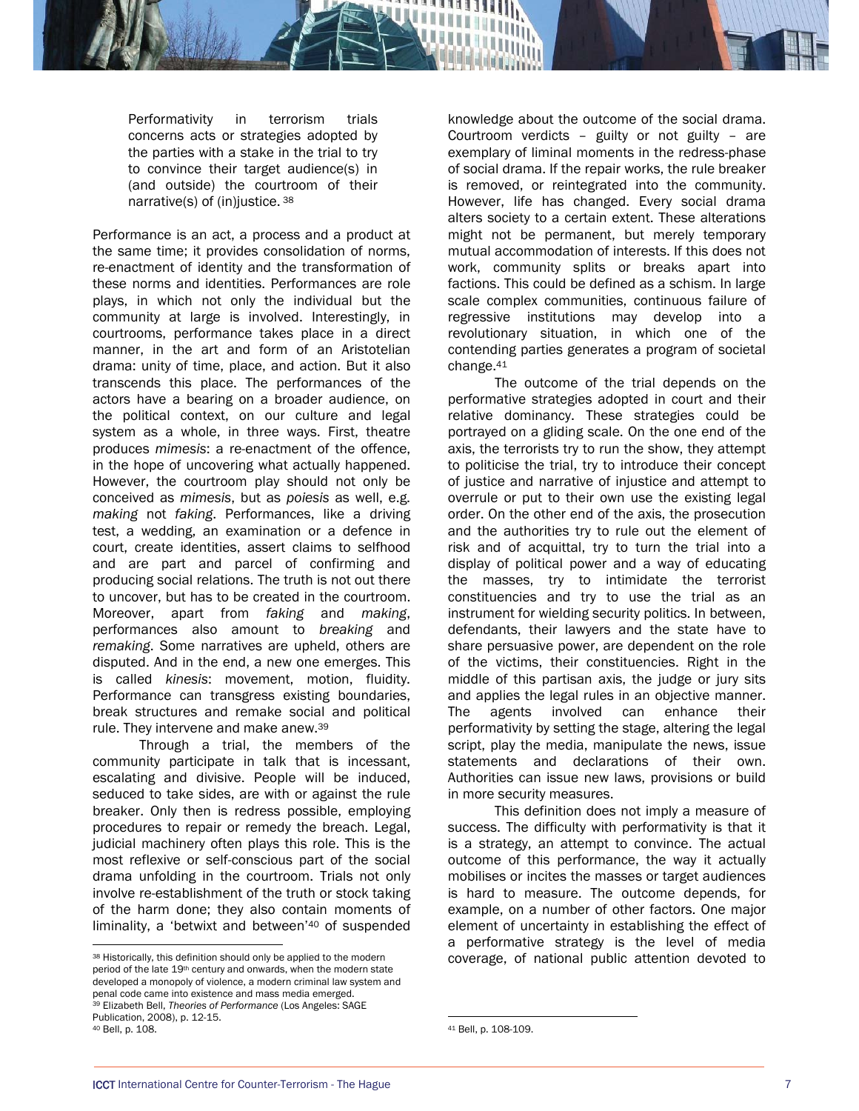Performativity in terrorism trials concerns acts or strategies adopted by the parties with a stake in the trial to try to convince their target audience(s) in (and outside) the courtroom of their narrative(s) of (in)justice. 38

Performance is an act, a process and a product at the same time; it provides consolidation of norms, re-enactment of identity and the transformation of these norms and identities. Performances are role plays, in which not only the individual but the community at large is involved. Interestingly, in courtrooms, performance takes place in a direct manner, in the art and form of an Aristotelian drama: unity of time, place, and action. But it also transcends this place. The performances of the actors have a bearing on a broader audience, on the political context, on our culture and legal system as a whole, in three ways. First, theatre produces *mimesis*: a re-enactment of the offence, in the hope of uncovering what actually happened. However, the courtroom play should not only be conceived as *mimesis*, but as *poiesis* as well, e.g. *making* not *faking*. Performances, like a driving test, a wedding, an examination or a defence in court, create identities, assert claims to selfhood and are part and parcel of confirming and producing social relations. The truth is not out there to uncover, but has to be created in the courtroom. Moreover, apart from *faking* and *making*, performances also amount to *breaking* and *remaking*. Some narratives are upheld, others are disputed. And in the end, a new one emerges. This is called *kinesis*: movement, motion, fluidity. Performance can transgress existing boundaries, break structures and remake social and political rule. They intervene and make anew.39

Through a trial, the members of the community participate in talk that is incessant, escalating and divisive. People will be induced, seduced to take sides, are with or against the rule breaker. Only then is redress possible, employing procedures to repair or remedy the breach. Legal, judicial machinery often plays this role. This is the most reflexive or self-conscious part of the social drama unfolding in the courtroom. Trials not only involve re-establishment of the truth or stock taking of the harm done; they also contain moments of liminality, a 'betwixt and between'40 of suspended

 $\overline{a}$ 

knowledge about the outcome of the social drama. Courtroom verdicts – guilty or not guilty – are exemplary of liminal moments in the redress-phase of social drama. If the repair works, the rule breaker is removed, or reintegrated into the community. However, life has changed. Every social drama alters society to a certain extent. These alterations might not be permanent, but merely temporary mutual accommodation of interests. If this does not work, community splits or breaks apart into factions. This could be defined as a schism. In large scale complex communities, continuous failure of regressive institutions may develop into a revolutionary situation, in which one of the contending parties generates a program of societal change.41

 The outcome of the trial depends on the performative strategies adopted in court and their relative dominancy. These strategies could be portrayed on a gliding scale. On the one end of the axis, the terrorists try to run the show, they attempt to politicise the trial, try to introduce their concept of justice and narrative of injustice and attempt to overrule or put to their own use the existing legal order. On the other end of the axis, the prosecution and the authorities try to rule out the element of risk and of acquittal, try to turn the trial into a display of political power and a way of educating the masses, try to intimidate the terrorist constituencies and try to use the trial as an instrument for wielding security politics. In between, defendants, their lawyers and the state have to share persuasive power, are dependent on the role of the victims, their constituencies. Right in the middle of this partisan axis, the judge or jury sits and applies the legal rules in an objective manner. The agents involved can enhance their performativity by setting the stage, altering the legal script, play the media, manipulate the news, issue statements and declarations of their own. Authorities can issue new laws, provisions or build in more security measures.

This definition does not imply a measure of success. The difficulty with performativity is that it is a strategy, an attempt to convince. The actual outcome of this performance, the way it actually mobilises or incites the masses or target audiences is hard to measure. The outcome depends, for example, on a number of other factors. One major element of uncertainty in establishing the effect of a performative strategy is the level of media coverage, of national public attention devoted to

<sup>38</sup> Historically, this definition should only be applied to the modern period of the late 19<sup>th</sup> century and onwards, when the modern state developed a monopoly of violence, a modern criminal law system and penal code came into existence and mass media emerged. 39 Elizabeth Bell, *Theories of Performance* (Los Angeles: SAGE Publication, 2008), p. 12-15.

<sup>40</sup> Bell, p. 108.

<sup>41</sup> Bell, p. 108-109.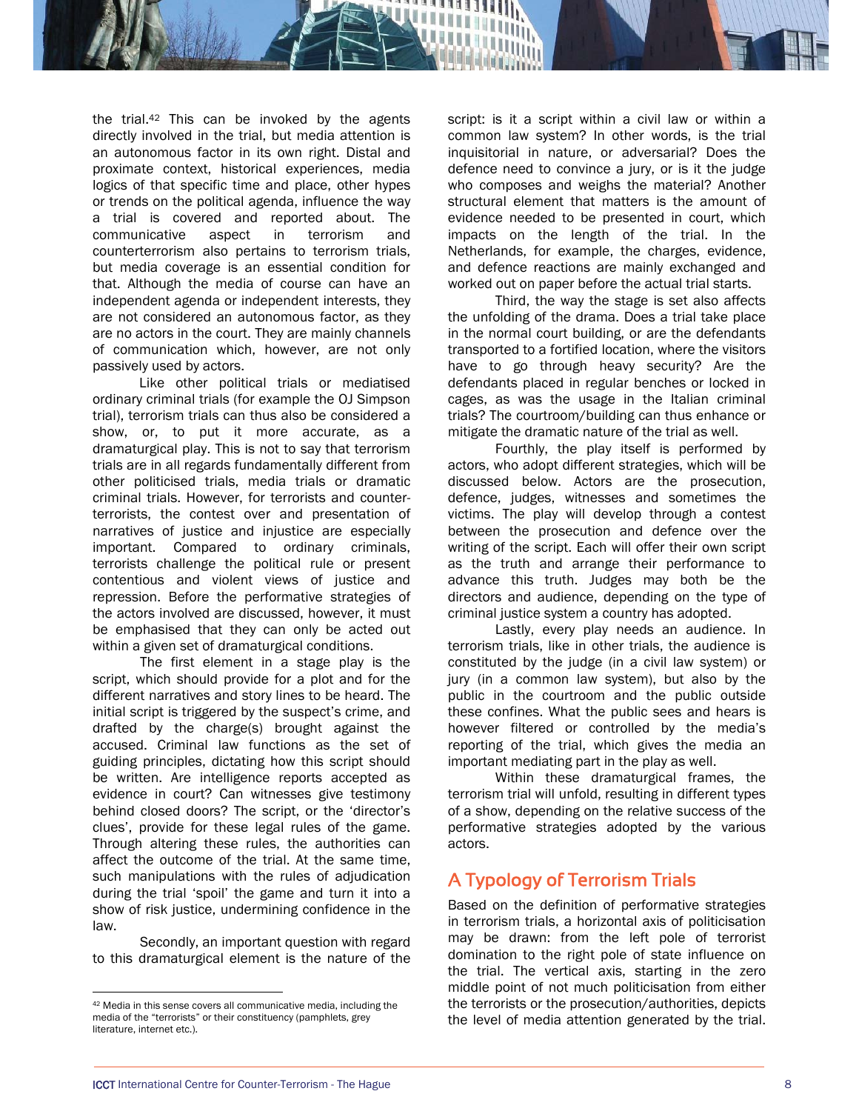the trial.42 This can be invoked by the agents directly involved in the trial, but media attention is an autonomous factor in its own right. Distal and proximate context, historical experiences, media logics of that specific time and place, other hypes or trends on the political agenda, influence the way a trial is covered and reported about. The communicative aspect in terrorism and counterterrorism also pertains to terrorism trials, but media coverage is an essential condition for that. Although the media of course can have an independent agenda or independent interests, they are not considered an autonomous factor, as they are no actors in the court. They are mainly channels of communication which, however, are not only passively used by actors.

 Like other political trials or mediatised ordinary criminal trials (for example the OJ Simpson trial), terrorism trials can thus also be considered a show, or, to put it more accurate, as a dramaturgical play. This is not to say that terrorism trials are in all regards fundamentally different from other politicised trials, media trials or dramatic criminal trials. However, for terrorists and counterterrorists, the contest over and presentation of narratives of justice and injustice are especially important. Compared to ordinary criminals, terrorists challenge the political rule or present contentious and violent views of justice and repression. Before the performative strategies of the actors involved are discussed, however, it must be emphasised that they can only be acted out within a given set of dramaturgical conditions.

The first element in a stage play is the script, which should provide for a plot and for the different narratives and story lines to be heard. The initial script is triggered by the suspect's crime, and drafted by the charge(s) brought against the accused. Criminal law functions as the set of guiding principles, dictating how this script should be written. Are intelligence reports accepted as evidence in court? Can witnesses give testimony behind closed doors? The script, or the 'director's clues', provide for these legal rules of the game. Through altering these rules, the authorities can affect the outcome of the trial. At the same time, such manipulations with the rules of adjudication during the trial 'spoil' the game and turn it into a show of risk justice, undermining confidence in the law.

Secondly, an important question with regard to this dramaturgical element is the nature of the

 $\overline{a}$ 

script: is it a script within a civil law or within a common law system? In other words, is the trial inquisitorial in nature, or adversarial? Does the defence need to convince a jury, or is it the judge who composes and weighs the material? Another structural element that matters is the amount of evidence needed to be presented in court, which impacts on the length of the trial. In the Netherlands, for example, the charges, evidence, and defence reactions are mainly exchanged and worked out on paper before the actual trial starts.

Third, the way the stage is set also affects the unfolding of the drama. Does a trial take place in the normal court building, or are the defendants transported to a fortified location, where the visitors have to go through heavy security? Are the defendants placed in regular benches or locked in cages, as was the usage in the Italian criminal trials? The courtroom/building can thus enhance or mitigate the dramatic nature of the trial as well.

Fourthly, the play itself is performed by actors, who adopt different strategies, which will be discussed below. Actors are the prosecution, defence, judges, witnesses and sometimes the victims. The play will develop through a contest between the prosecution and defence over the writing of the script. Each will offer their own script as the truth and arrange their performance to advance this truth. Judges may both be the directors and audience, depending on the type of criminal justice system a country has adopted.

Lastly, every play needs an audience. In terrorism trials, like in other trials, the audience is constituted by the judge (in a civil law system) or jury (in a common law system), but also by the public in the courtroom and the public outside these confines. What the public sees and hears is however filtered or controlled by the media's reporting of the trial, which gives the media an important mediating part in the play as well.

Within these dramaturgical frames, the terrorism trial will unfold, resulting in different types of a show, depending on the relative success of the performative strategies adopted by the various actors.

# A Typology of Terrorism Trials

Based on the definition of performative strategies in terrorism trials, a horizontal axis of politicisation may be drawn: from the left pole of terrorist domination to the right pole of state influence on the trial. The vertical axis, starting in the zero middle point of not much politicisation from either the terrorists or the prosecution/authorities, depicts the level of media attention generated by the trial.

<sup>42</sup> Media in this sense covers all communicative media, including the media of the "terrorists" or their constituency (pamphlets, grey literature, internet etc.).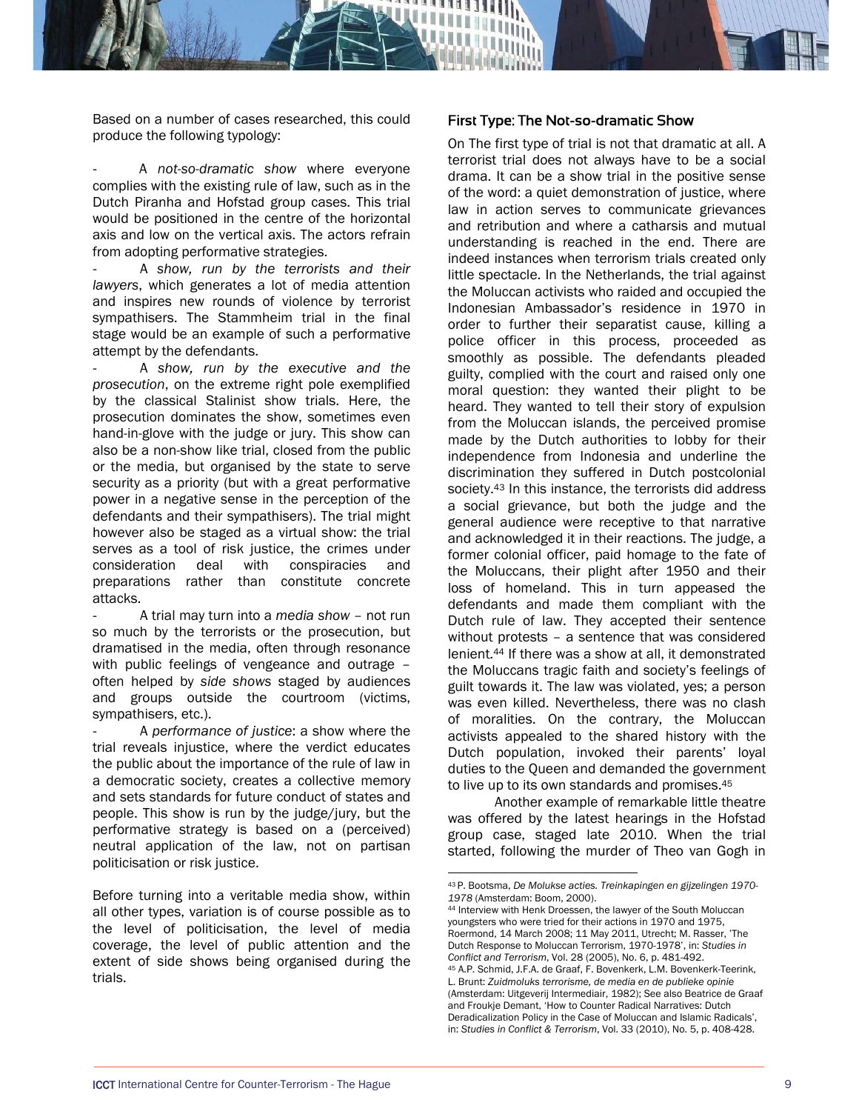Based on a number of cases researched, this could produce the following typology:

‐ A *not-so-dramatic show* where everyone complies with the existing rule of law, such as in the Dutch Piranha and Hofstad group cases. This trial would be positioned in the centre of the horizontal axis and low on the vertical axis. The actors refrain from adopting performative strategies.

‐ A *show, run by the terrorists and their lawyers*, which generates a lot of media attention and inspires new rounds of violence by terrorist sympathisers. The Stammheim trial in the final stage would be an example of such a performative attempt by the defendants.

‐ A *show, run by the executive and the prosecution*, on the extreme right pole exemplified by the classical Stalinist show trials. Here, the prosecution dominates the show, sometimes even hand-in-glove with the judge or jury. This show can also be a non-show like trial, closed from the public or the media, but organised by the state to serve security as a priority (but with a great performative power in a negative sense in the perception of the defendants and their sympathisers). The trial might however also be staged as a virtual show: the trial serves as a tool of risk justice, the crimes under consideration deal with conspiracies and preparations rather than constitute concrete attacks.

‐ A trial may turn into a *media show –* not run so much by the terrorists or the prosecution, but dramatised in the media, often through resonance with public feelings of vengeance and outrage – often helped by *side shows* staged by audiences and groups outside the courtroom (victims, sympathisers, etc.).

‐ A *performance of justice*: a show where the trial reveals injustice, where the verdict educates the public about the importance of the rule of law in a democratic society, creates a collective memory and sets standards for future conduct of states and people. This show is run by the judge/jury, but the performative strategy is based on a (perceived) neutral application of the law, not on partisan politicisation or risk justice.

Before turning into a veritable media show, within all other types, variation is of course possible as to the level of politicisation, the level of media coverage, the level of public attention and the extent of side shows being organised during the trials.

#### First Type: The Not-so-dramatic Show

On The first type of trial is not that dramatic at all. A terrorist trial does not always have to be a social drama. It can be a show trial in the positive sense of the word: a quiet demonstration of justice, where law in action serves to communicate grievances and retribution and where a catharsis and mutual understanding is reached in the end. There are indeed instances when terrorism trials created only little spectacle. In the Netherlands, the trial against the Moluccan activists who raided and occupied the Indonesian Ambassador's residence in 1970 in order to further their separatist cause, killing a police officer in this process, proceeded as smoothly as possible. The defendants pleaded guilty, complied with the court and raised only one moral question: they wanted their plight to be heard. They wanted to tell their story of expulsion from the Moluccan islands, the perceived promise made by the Dutch authorities to lobby for their independence from Indonesia and underline the discrimination they suffered in Dutch postcolonial society.<sup>43</sup> In this instance, the terrorists did address a social grievance, but both the judge and the general audience were receptive to that narrative and acknowledged it in their reactions. The judge, a former colonial officer, paid homage to the fate of the Moluccans, their plight after 1950 and their loss of homeland. This in turn appeased the defendants and made them compliant with the Dutch rule of law. They accepted their sentence without protests – a sentence that was considered lenient.44 If there was a show at all, it demonstrated the Moluccans tragic faith and society's feelings of guilt towards it. The law was violated, yes; a person was even killed. Nevertheless, there was no clash of moralities. On the contrary, the Moluccan activists appealed to the shared history with the Dutch population, invoked their parents' loyal duties to the Queen and demanded the government to live up to its own standards and promises.45

Another example of remarkable little theatre was offered by the latest hearings in the Hofstad group case, staged late 2010. When the trial started, following the murder of Theo van Gogh in

l

youngsters who were tried for their actions in 1970 and 1975, Roermond, 14 March 2008; 11 May 2011, Utrecht; M. Rasser, 'The Dutch Response to Moluccan Terrorism, 1970-1978', in: *Studies in Conflict and Terrorism*, Vol. 28 (2005), No. 6, p. 481-492. 45 A.P. Schmid, J.F.A. de Graaf, F. Bovenkerk, L.M. Bovenkerk-Teerink,

<sup>43</sup> P. Bootsma, *De Molukse acties. Treinkapingen en gijzelingen 1970- <sup>1978</sup>* (Amsterdam: Boom, 2000). 44 Interview with Henk Droessen, the lawyer of the South Moluccan

L. Brunt: *Zuidmoluks terrorisme, de media en de publieke opinie* (Amsterdam: Uitgeverij Intermediair, 1982); See also Beatrice de Graaf and Froukje Demant, 'How to Counter Radical Narratives: Dutch Deradicalization Policy in the Case of Moluccan and Islamic Radicals', in: *Studies in Conflict & Terrorism*, Vol. 33 (2010), No. 5, p. 408-428.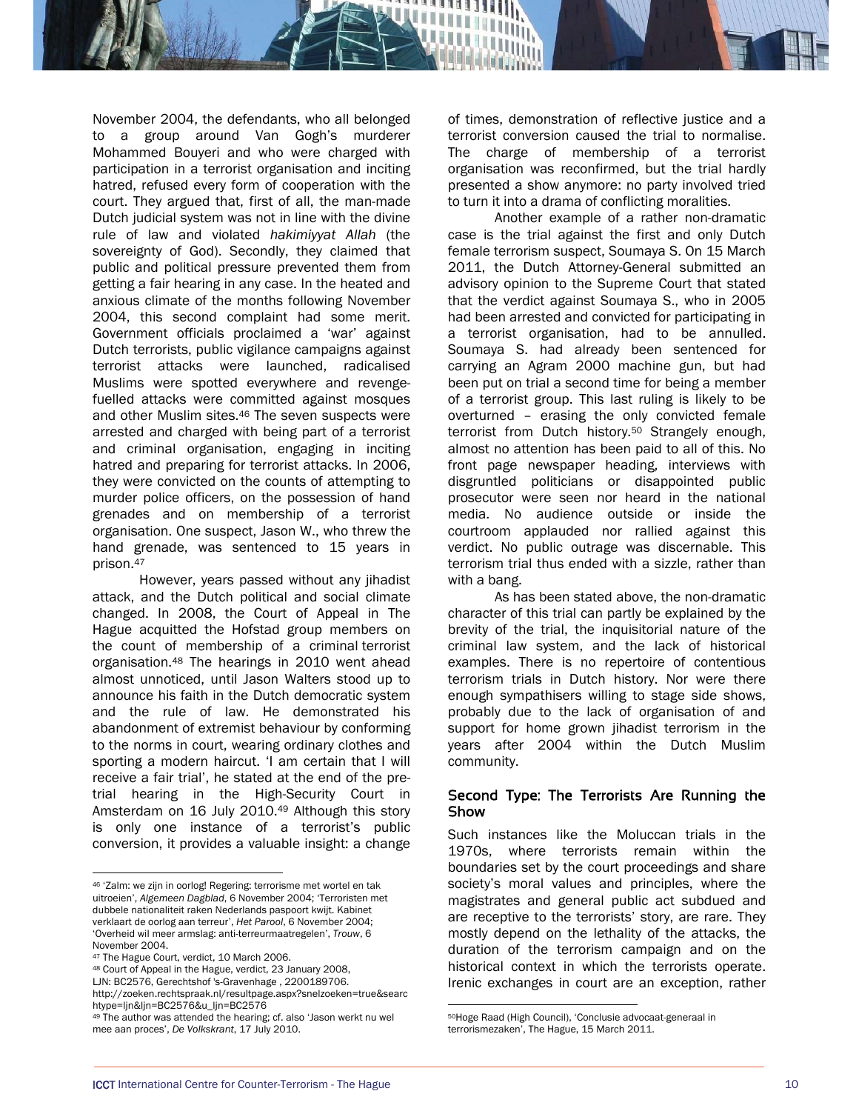November 2004, the defendants, who all belonged to a group around Van Gogh's murderer Mohammed Bouyeri and who were charged with participation in a terrorist organisation and inciting hatred, refused every form of cooperation with the court. They argued that, first of all, the man-made Dutch judicial system was not in line with the divine rule of law and violated *hakimiyyat Allah* (the sovereignty of God). Secondly, they claimed that public and political pressure prevented them from getting a fair hearing in any case. In the heated and anxious climate of the months following November 2004, this second complaint had some merit. Government officials proclaimed a 'war' against Dutch terrorists, public vigilance campaigns against terrorist attacks were launched, radicalised Muslims were spotted everywhere and revengefuelled attacks were committed against mosques and other Muslim sites.46 The seven suspects were arrested and charged with being part of a terrorist and criminal organisation, engaging in inciting hatred and preparing for terrorist attacks. In 2006, they were convicted on the counts of attempting to murder police officers, on the possession of hand grenades and on membership of a terrorist organisation. One suspect, Jason W., who threw the hand grenade, was sentenced to 15 years in prison.47

However, years passed without any jihadist attack, and the Dutch political and social climate changed. In 2008, the Court of Appeal in The Hague acquitted the Hofstad group members on the count of membership of a criminal terrorist organisation.48 The hearings in 2010 went ahead almost unnoticed, until Jason Walters stood up to announce his faith in the Dutch democratic system and the rule of law. He demonstrated his abandonment of extremist behaviour by conforming to the norms in court, wearing ordinary clothes and sporting a modern haircut. 'I am certain that I will receive a fair trial', he stated at the end of the pretrial hearing in the High-Security Court in Amsterdam on 16 July 2010.49 Although this story is only one instance of a terrorist's public conversion, it provides a valuable insight: a change

l

of times, demonstration of reflective justice and a terrorist conversion caused the trial to normalise. The charge of membership of a terrorist organisation was reconfirmed, but the trial hardly presented a show anymore: no party involved tried to turn it into a drama of conflicting moralities.

Another example of a rather non-dramatic case is the trial against the first and only Dutch female terrorism suspect, Soumaya S. On 15 March 2011, the Dutch Attorney-General submitted an advisory opinion to the Supreme Court that stated that the verdict against Soumaya S., who in 2005 had been arrested and convicted for participating in a terrorist organisation, had to be annulled. Soumaya S. had already been sentenced for carrying an Agram 2000 machine gun, but had been put on trial a second time for being a member of a terrorist group. This last ruling is likely to be overturned – erasing the only convicted female terrorist from Dutch history.50 Strangely enough, almost no attention has been paid to all of this. No front page newspaper heading, interviews with disgruntled politicians or disappointed public prosecutor were seen nor heard in the national media. No audience outside or inside the courtroom applauded nor rallied against this verdict. No public outrage was discernable. This terrorism trial thus ended with a sizzle, rather than with a bang.

 As has been stated above, the non-dramatic character of this trial can partly be explained by the brevity of the trial, the inquisitorial nature of the criminal law system, and the lack of historical examples. There is no repertoire of contentious terrorism trials in Dutch history. Nor were there enough sympathisers willing to stage side shows, probably due to the lack of organisation of and support for home grown jihadist terrorism in the years after 2004 within the Dutch Muslim community.

#### Second Type: The Terrorists Are Running the Show

Such instances like the Moluccan trials in the 1970s, where terrorists remain within the boundaries set by the court proceedings and share society's moral values and principles, where the magistrates and general public act subdued and are receptive to the terrorists' story, are rare. They mostly depend on the lethality of the attacks, the duration of the terrorism campaign and on the historical context in which the terrorists operate. Irenic exchanges in court are an exception, rather

<sup>46 &#</sup>x27;Zalm: we zijn in oorlog! Regering: terrorisme met wortel en tak uitroeien', *Algemeen Dagblad*, 6 November 2004; 'Terroristen met dubbele nationaliteit raken Nederlands paspoort kwijt. Kabinet verklaart de oorlog aan terreur', *Het Parool*, 6 November 2004; 'Overheid wil meer armslag: anti-terreurmaatregelen', *Trouw*, 6 November 2004.

<sup>47</sup> The Hague Court, verdict, 10 March 2006.

<sup>48</sup> Court of Appeal in the Hague, verdict, 23 January 2008,

LJN: BC2576, Gerechtshof 's-Gravenhage , 2200189706.

http://zoeken.rechtspraak.nl/resultpage.aspx?snelzoeken=true&searc htype=ljn&ljn=BC2576&u\_ljn=BC2576

<sup>&</sup>lt;sup>49</sup> The author was attended the hearing; cf. also 'Jason werkt nu wel mee aan proces', *De Volkskrant*, 17 July 2010.

<sup>50</sup>Hoge Raad (High Council), 'Conclusie advocaat-generaal in terrorismezaken', The Hague, 15 March 2011.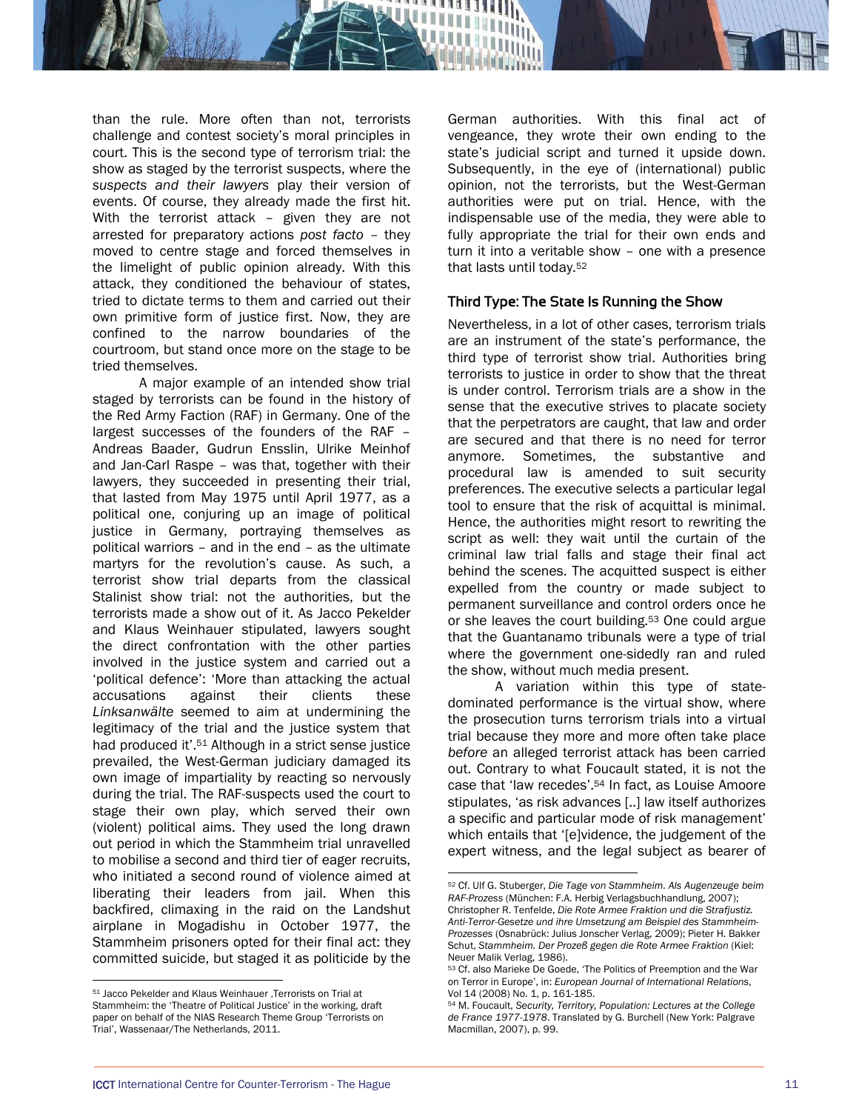

than the rule. More often than not, terrorists challenge and contest society's moral principles in court. This is the second type of terrorism trial: the show as staged by the terrorist suspects, where the *suspects and their lawyers* play their version of events. Of course, they already made the first hit. With the terrorist attack – given they are not arrested for preparatory actions *post facto* – they moved to centre stage and forced themselves in the limelight of public opinion already. With this attack, they conditioned the behaviour of states, tried to dictate terms to them and carried out their own primitive form of justice first. Now, they are confined to the narrow boundaries of the courtroom, but stand once more on the stage to be tried themselves.

A major example of an intended show trial staged by terrorists can be found in the history of the Red Army Faction (RAF) in Germany. One of the largest successes of the founders of the RAF – Andreas Baader, Gudrun Ensslin, Ulrike Meinhof and Jan-Carl Raspe – was that, together with their lawyers, they succeeded in presenting their trial, that lasted from May 1975 until April 1977, as a political one, conjuring up an image of political justice in Germany, portraying themselves as political warriors – and in the end – as the ultimate martyrs for the revolution's cause. As such, a terrorist show trial departs from the classical Stalinist show trial: not the authorities, but the terrorists made a show out of it. As Jacco Pekelder and Klaus Weinhauer stipulated, lawyers sought the direct confrontation with the other parties involved in the justice system and carried out a 'political defence': 'More than attacking the actual accusations against their clients these *Linksanwälte* seemed to aim at undermining the legitimacy of the trial and the justice system that had produced it'.51 Although in a strict sense justice prevailed, the West-German judiciary damaged its own image of impartiality by reacting so nervously during the trial. The RAF-suspects used the court to stage their own play, which served their own (violent) political aims. They used the long drawn out period in which the Stammheim trial unravelled to mobilise a second and third tier of eager recruits, who initiated a second round of violence aimed at liberating their leaders from jail. When this backfired, climaxing in the raid on the Landshut airplane in Mogadishu in October 1977, the Stammheim prisoners opted for their final act: they committed suicide, but staged it as politicide by the

 $\overline{a}$ 

German authorities. With this final act of vengeance, they wrote their own ending to the state's judicial script and turned it upside down. Subsequently, in the eye of (international) public opinion, not the terrorists, but the West-German authorities were put on trial. Hence, with the indispensable use of the media, they were able to fully appropriate the trial for their own ends and turn it into a veritable show – one with a presence that lasts until today.52

#### Third Type: The State Is Running the Show

Nevertheless, in a lot of other cases, terrorism trials are an instrument of the state's performance, the third type of terrorist show trial. Authorities bring terrorists to justice in order to show that the threat is under control. Terrorism trials are a show in the sense that the executive strives to placate society that the perpetrators are caught, that law and order are secured and that there is no need for terror anymore. Sometimes, the substantive and procedural law is amended to suit security preferences. The executive selects a particular legal tool to ensure that the risk of acquittal is minimal. Hence, the authorities might resort to rewriting the script as well: they wait until the curtain of the criminal law trial falls and stage their final act behind the scenes. The acquitted suspect is either expelled from the country or made subject to permanent surveillance and control orders once he or she leaves the court building.53 One could argue that the Guantanamo tribunals were a type of trial where the government one-sidedly ran and ruled the show, without much media present.

A variation within this type of statedominated performance is the virtual show, where the prosecution turns terrorism trials into a virtual trial because they more and more often take place *before* an alleged terrorist attack has been carried out. Contrary to what Foucault stated, it is not the case that 'law recedes'.54 In fact, as Louise Amoore stipulates, 'as risk advances [..] law itself authorizes a specific and particular mode of risk management' which entails that '[e]vidence, the judgement of the expert witness, and the legal subject as bearer of

<sup>&</sup>lt;sup>51</sup> Jacco Pekelder and Klaus Weinhauer . Terrorists on Trial at Stammheim: the 'Theatre of Political Justice' in the working, draft paper on behalf of the NIAS Research Theme Group 'Terrorists on Trial', Wassenaar/The Netherlands, 2011.

l 52 Cf. Ulf G. Stuberger, *Die Tage von Stammheim. Als Augenzeuge beim RAF-Prozess* (München: F.A. Herbig Verlagsbuchhandlung, 2007); Christopher R. Tenfelde, *Die Rote Armee Fraktion und die Strafjustiz. Anti-Terror-Gesetze und ihre Umsetzung am Beispiel des Stammheim-Prozesses* (Osnabrück: Julius Jonscher Verlag, 2009); Pieter H. Bakker Schut, *Stammheim. Der Prozeß gegen die Rote Armee Fraktion* (Kiel: Neuer Malik Verlag, 1986).

<sup>53</sup> Cf. also Marieke De Goede, 'The Politics of Preemption and the War on Terror in Europe', in: *European Journal of International Relations*, Vol 14 (2008) No. 1, p. 161-185.

<sup>54</sup> M. Foucault, *Security, Territory, Population: Lectures at the College de France 1977-1978*. Translated by G. Burchell (New York: Palgrave Macmillan, 2007), p. 99.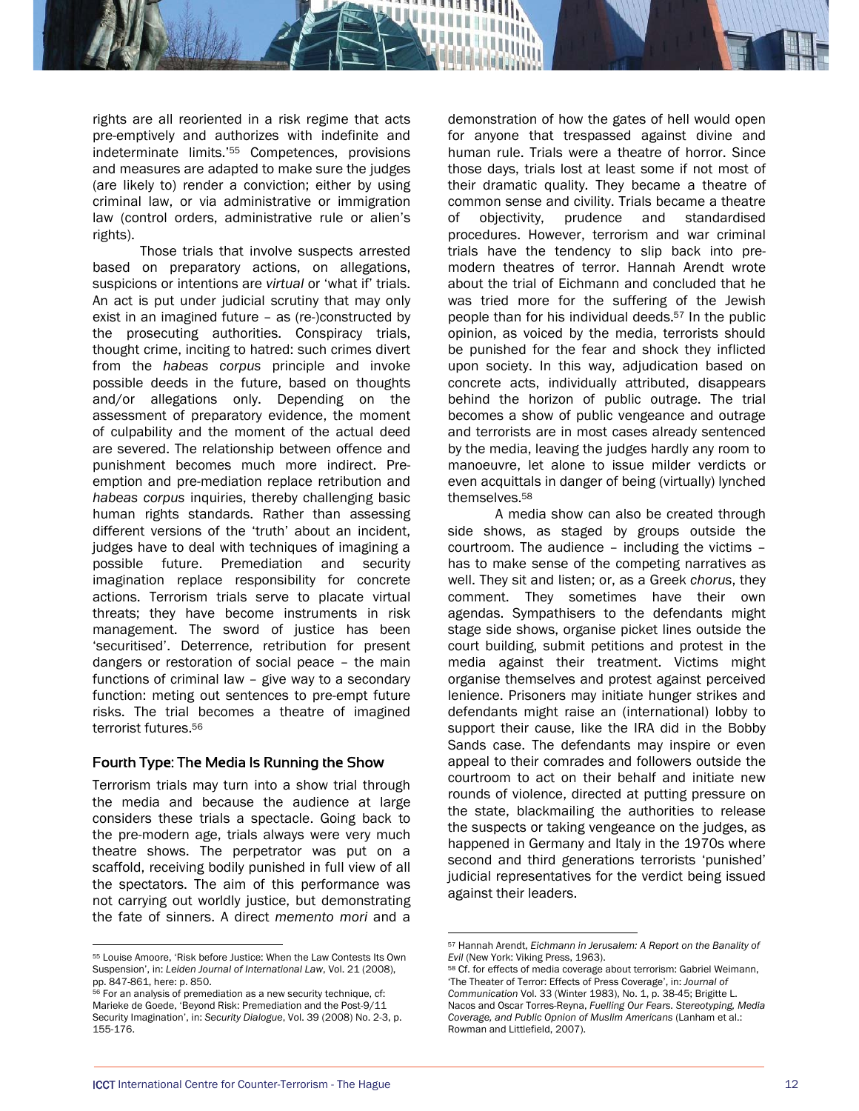rights are all reoriented in a risk regime that acts pre-emptively and authorizes with indefinite and indeterminate limits.'55 Competences, provisions and measures are adapted to make sure the judges (are likely to) render a conviction; either by using criminal law, or via administrative or immigration law (control orders, administrative rule or alien's rights).

Those trials that involve suspects arrested based on preparatory actions, on allegations, suspicions or intentions are *virtual* or 'what if' trials. An act is put under judicial scrutiny that may only exist in an imagined future – as (re-)constructed by the prosecuting authorities. Conspiracy trials, thought crime, inciting to hatred: such crimes divert from the *habeas corpus* principle and invoke possible deeds in the future, based on thoughts and/or allegations only. Depending on the assessment of preparatory evidence, the moment of culpability and the moment of the actual deed are severed. The relationship between offence and punishment becomes much more indirect. Preemption and pre-mediation replace retribution and *habeas corpus* inquiries, thereby challenging basic human rights standards. Rather than assessing different versions of the 'truth' about an incident, judges have to deal with techniques of imagining a possible future. Premediation and security imagination replace responsibility for concrete actions. Terrorism trials serve to placate virtual threats; they have become instruments in risk management. The sword of justice has been 'securitised'. Deterrence, retribution for present dangers or restoration of social peace – the main functions of criminal law – give way to a secondary function: meting out sentences to pre-empt future risks. The trial becomes a theatre of imagined terrorist futures.56

#### Fourth Type: The Media Is Running the Show

Terrorism trials may turn into a show trial through the media and because the audience at large considers these trials a spectacle. Going back to the pre-modern age, trials always were very much theatre shows. The perpetrator was put on a scaffold, receiving bodily punished in full view of all the spectators. The aim of this performance was not carrying out worldly justice, but demonstrating the fate of sinners. A direct *memento mori* and a

 $\overline{a}$ 

demonstration of how the gates of hell would open for anyone that trespassed against divine and human rule. Trials were a theatre of horror. Since those days, trials lost at least some if not most of their dramatic quality. They became a theatre of common sense and civility. Trials became a theatre of objectivity, prudence and standardised procedures. However, terrorism and war criminal trials have the tendency to slip back into premodern theatres of terror. Hannah Arendt wrote about the trial of Eichmann and concluded that he was tried more for the suffering of the Jewish people than for his individual deeds.57 In the public opinion, as voiced by the media, terrorists should be punished for the fear and shock they inflicted upon society. In this way, adjudication based on concrete acts, individually attributed, disappears behind the horizon of public outrage. The trial becomes a show of public vengeance and outrage and terrorists are in most cases already sentenced by the media, leaving the judges hardly any room to manoeuvre, let alone to issue milder verdicts or even acquittals in danger of being (virtually) lynched themselves.58

A media show can also be created through side shows, as staged by groups outside the courtroom. The audience – including the victims – has to make sense of the competing narratives as well. They sit and listen; or, as a Greek *chorus*, they comment. They sometimes have their own agendas. Sympathisers to the defendants might stage side shows, organise picket lines outside the court building, submit petitions and protest in the media against their treatment. Victims might organise themselves and protest against perceived lenience. Prisoners may initiate hunger strikes and defendants might raise an (international) lobby to support their cause, like the IRA did in the Bobby Sands case. The defendants may inspire or even appeal to their comrades and followers outside the courtroom to act on their behalf and initiate new rounds of violence, directed at putting pressure on the state, blackmailing the authorities to release the suspects or taking vengeance on the judges, as happened in Germany and Italy in the 1970s where second and third generations terrorists 'punished' judicial representatives for the verdict being issued against their leaders.

<sup>55</sup> Louise Amoore, 'Risk before Justice: When the Law Contests Its Own Suspension', in: *Leiden Journal of International Law*, Vol. 21 (2008), pp. 847-861, here: p. 850.

 $56$  For an analysis of premediation as a new security technique, cf: Marieke de Goede, 'Beyond Risk: Premediation and the Post-9/11 Security Imagination', in: *Security Dialogue*, Vol. 39 (2008) No. 2-3, p. 155-176.

<sup>57</sup> Hannah Arendt, *Eichmann in Jerusalem: A Report on the Banality of Evil* (New York: Viking Press, 1963). *Evil* (New York: Viking Press, 1963).<br><sup>58</sup> Cf. for effects of media coverage about terrorism: Gabriel Weimann,

<sup>&#</sup>x27;The Theater of Terror: Effects of Press Coverage', in: *Journal of Communication* Vol. 33 (Winter 1983), No. 1, p. 38-45; Brigitte L. Nacos and Oscar Torres-Reyna, *Fuelling Our Fears. Stereotyping, Media Coverage, and Public Opnion of Muslim Americans* (Lanham et al.: Rowman and Littlefield, 2007).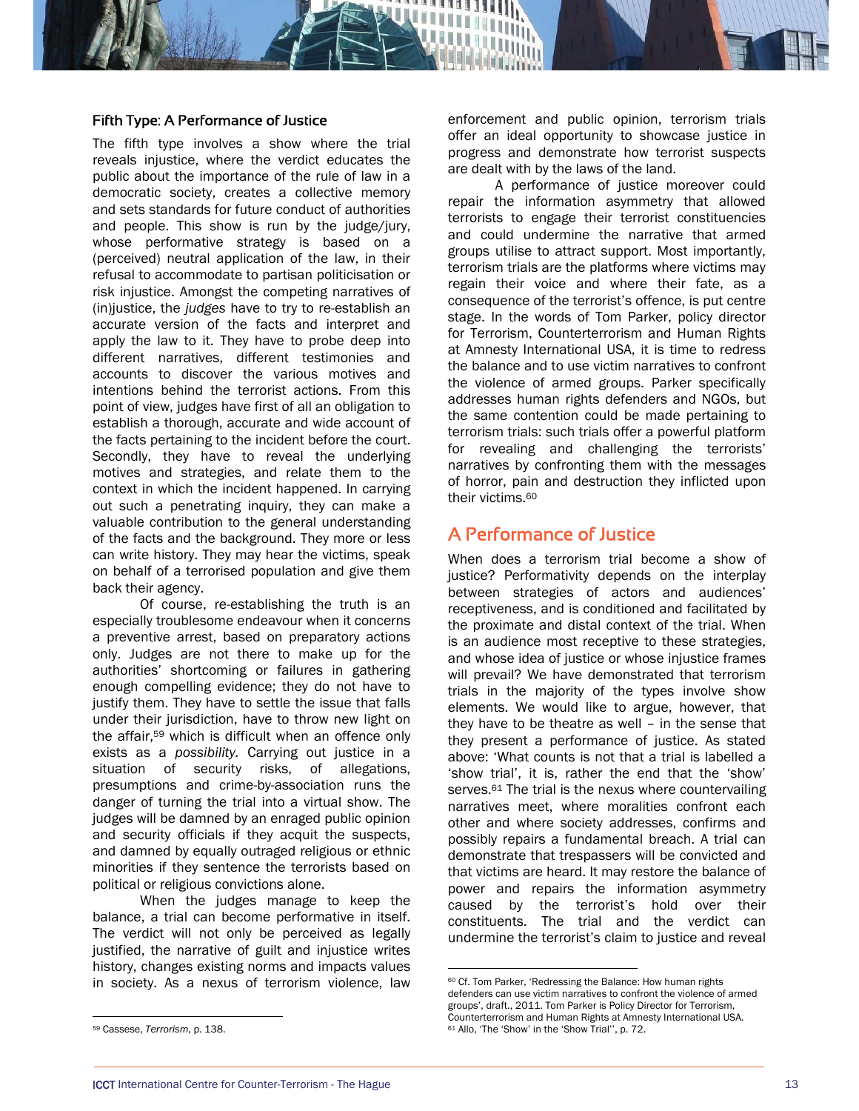#### Fifth Type: A Performance of Justice

The fifth type involves a show where the trial reveals injustice, where the verdict educates the public about the importance of the rule of law in a democratic society, creates a collective memory and sets standards for future conduct of authorities and people. This show is run by the judge/jury, whose performative strategy is based on a (perceived) neutral application of the law, in their refusal to accommodate to partisan politicisation or risk injustice. Amongst the competing narratives of (in)justice, the *judges* have to try to re-establish an accurate version of the facts and interpret and apply the law to it. They have to probe deep into different narratives, different testimonies and accounts to discover the various motives and intentions behind the terrorist actions. From this point of view, judges have first of all an obligation to establish a thorough, accurate and wide account of the facts pertaining to the incident before the court. Secondly, they have to reveal the underlying motives and strategies, and relate them to the context in which the incident happened. In carrying out such a penetrating inquiry, they can make a valuable contribution to the general understanding of the facts and the background. They more or less can write history. They may hear the victims, speak on behalf of a terrorised population and give them back their agency.

Of course, re-establishing the truth is an especially troublesome endeavour when it concerns a preventive arrest, based on preparatory actions only. Judges are not there to make up for the authorities' shortcoming or failures in gathering enough compelling evidence; they do not have to justify them. They have to settle the issue that falls under their jurisdiction, have to throw new light on the affair,59 which is difficult when an offence only exists as a *possibility.* Carrying out justice in a situation of security risks, of allegations, presumptions and crime-by-association runs the danger of turning the trial into a virtual show. The judges will be damned by an enraged public opinion and security officials if they acquit the suspects, and damned by equally outraged religious or ethnic minorities if they sentence the terrorists based on political or religious convictions alone.

When the judges manage to keep the balance, a trial can become performative in itself. The verdict will not only be perceived as legally justified, the narrative of guilt and injustice writes history, changes existing norms and impacts values in society. As a nexus of terrorism violence, law

59 Cassese, *Terrorism*, p. 138.

l

enforcement and public opinion, terrorism trials offer an ideal opportunity to showcase justice in progress and demonstrate how terrorist suspects are dealt with by the laws of the land.

A performance of justice moreover could repair the information asymmetry that allowed terrorists to engage their terrorist constituencies and could undermine the narrative that armed groups utilise to attract support. Most importantly, terrorism trials are the platforms where victims may regain their voice and where their fate, as a consequence of the terrorist's offence, is put centre stage. In the words of Tom Parker, policy director for Terrorism, Counterterrorism and Human Rights at Amnesty International USA, it is time to redress the balance and to use victim narratives to confront the violence of armed groups. Parker specifically addresses human rights defenders and NGOs, but the same contention could be made pertaining to terrorism trials: such trials offer a powerful platform for revealing and challenging the terrorists' narratives by confronting them with the messages of horror, pain and destruction they inflicted upon their victims.<sup>60</sup>

# A Performance of Justice

When does a terrorism trial become a show of justice? Performativity depends on the interplay between strategies of actors and audiences' receptiveness, and is conditioned and facilitated by the proximate and distal context of the trial. When is an audience most receptive to these strategies, and whose idea of justice or whose injustice frames will prevail? We have demonstrated that terrorism trials in the majority of the types involve show elements. We would like to argue, however, that they have to be theatre as well – in the sense that they present a performance of justice. As stated above: 'What counts is not that a trial is labelled a 'show trial', it is, rather the end that the 'show' serves.<sup>61</sup> The trial is the nexus where countervailing narratives meet, where moralities confront each other and where society addresses, confirms and possibly repairs a fundamental breach. A trial can demonstrate that trespassers will be convicted and that victims are heard. It may restore the balance of power and repairs the information asymmetry caused by the terrorist's hold over their constituents. The trial and the verdict can undermine the terrorist's claim to justice and reveal

<sup>60</sup> Cf. Tom Parker, 'Redressing the Balance: How human rights defenders can use victim narratives to confront the violence of armed groups', draft., 2011. Tom Parker is Policy Director for Terrorism, Counterterrorism and Human Rights at Amnesty International USA. 61 Allo, 'The 'Show' in the 'Show Trial'', p. 72.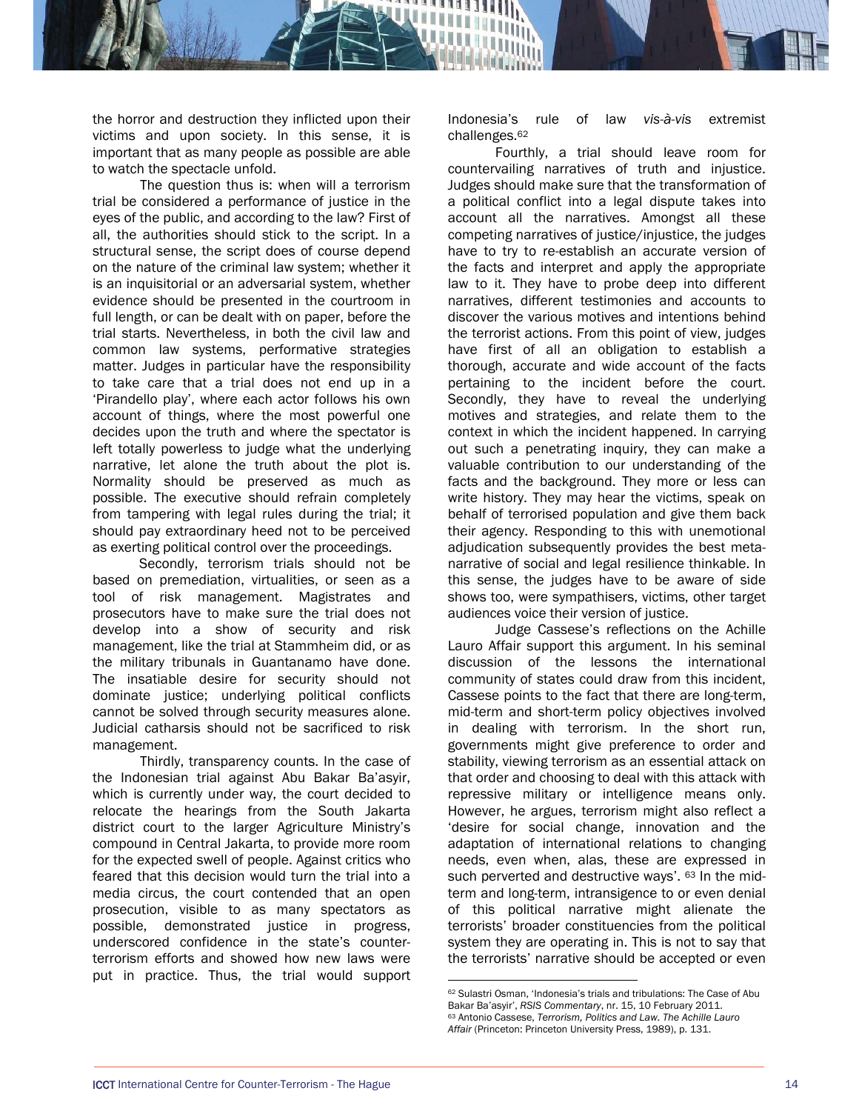the horror and destruction they inflicted upon their victims and upon society. In this sense, it is important that as many people as possible are able to watch the spectacle unfold.

The question thus is: when will a terrorism trial be considered a performance of justice in the eyes of the public, and according to the law? First of all, the authorities should stick to the script. In a structural sense, the script does of course depend on the nature of the criminal law system; whether it is an inquisitorial or an adversarial system, whether evidence should be presented in the courtroom in full length, or can be dealt with on paper, before the trial starts. Nevertheless, in both the civil law and common law systems, performative strategies matter. Judges in particular have the responsibility to take care that a trial does not end up in a 'Pirandello play', where each actor follows his own account of things, where the most powerful one decides upon the truth and where the spectator is left totally powerless to judge what the underlying narrative, let alone the truth about the plot is. Normality should be preserved as much as possible. The executive should refrain completely from tampering with legal rules during the trial; it should pay extraordinary heed not to be perceived as exerting political control over the proceedings.

 Secondly, terrorism trials should not be based on premediation, virtualities, or seen as a tool of risk management. Magistrates and prosecutors have to make sure the trial does not develop into a show of security and risk management, like the trial at Stammheim did, or as the military tribunals in Guantanamo have done. The insatiable desire for security should not dominate justice; underlying political conflicts cannot be solved through security measures alone. Judicial catharsis should not be sacrificed to risk management.

Thirdly, transparency counts. In the case of the Indonesian trial against Abu Bakar Ba'asyir, which is currently under way, the court decided to relocate the hearings from the South Jakarta district court to the larger Agriculture Ministry's compound in Central Jakarta, to provide more room for the expected swell of people. Against critics who feared that this decision would turn the trial into a media circus, the court contended that an open prosecution, visible to as many spectators as possible, demonstrated justice in progress, underscored confidence in the state's counterterrorism efforts and showed how new laws were put in practice. Thus, the trial would support

Indonesia's rule of law *vis-à-vis* extremist challenges.62

Fourthly, a trial should leave room for countervailing narratives of truth and injustice. Judges should make sure that the transformation of a political conflict into a legal dispute takes into account all the narratives. Amongst all these competing narratives of justice/injustice, the judges have to try to re-establish an accurate version of the facts and interpret and apply the appropriate law to it. They have to probe deep into different narratives, different testimonies and accounts to discover the various motives and intentions behind the terrorist actions. From this point of view, judges have first of all an obligation to establish a thorough, accurate and wide account of the facts pertaining to the incident before the court. Secondly, they have to reveal the underlying motives and strategies, and relate them to the context in which the incident happened. In carrying out such a penetrating inquiry, they can make a valuable contribution to our understanding of the facts and the background. They more or less can write history. They may hear the victims, speak on behalf of terrorised population and give them back their agency. Responding to this with unemotional adjudication subsequently provides the best metanarrative of social and legal resilience thinkable. In this sense, the judges have to be aware of side shows too, were sympathisers, victims, other target audiences voice their version of justice.

Judge Cassese's reflections on the Achille Lauro Affair support this argument. In his seminal discussion of the lessons the international community of states could draw from this incident, Cassese points to the fact that there are long-term, mid-term and short-term policy objectives involved in dealing with terrorism. In the short run, governments might give preference to order and stability, viewing terrorism as an essential attack on that order and choosing to deal with this attack with repressive military or intelligence means only. However, he argues, terrorism might also reflect a 'desire for social change, innovation and the adaptation of international relations to changing needs, even when, alas, these are expressed in such perverted and destructive ways'. 63 In the midterm and long-term, intransigence to or even denial of this political narrative might alienate the terrorists' broader constituencies from the political system they are operating in. This is not to say that the terrorists' narrative should be accepted or even

<sup>62</sup> Sulastri Osman, 'Indonesia's trials and tribulations: The Case of Abu Bakar Ba'asyir', *RSIS Commentary*, nr. 15, 10 February 2011. 63 Antonio Cassese, *Terrorism, Politics and Law. The Achille Lauro Affair* (Princeton: Princeton University Press, 1989), p. 131.